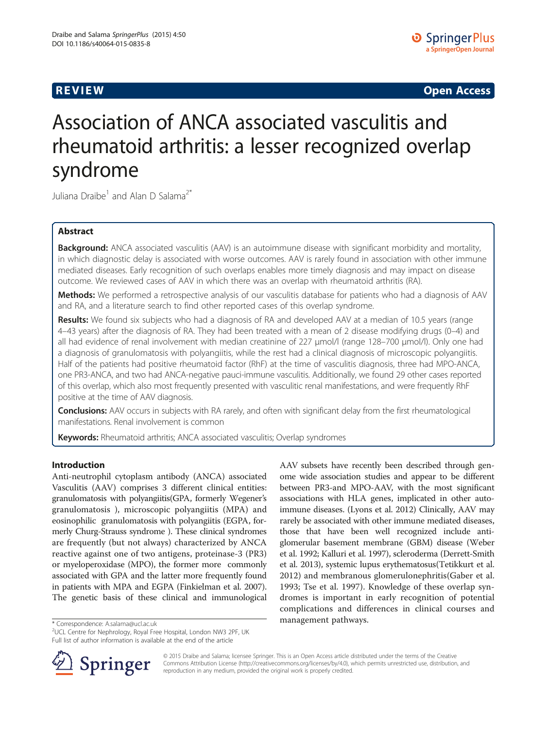**REVIEW REVIEW CONSTRUCTER CONSTRUCTION** 

# Association of ANCA associated vasculitis and rheumatoid arthritis: a lesser recognized overlap syndrome

Juliana Draibe<sup>1</sup> and Alan D Salama<sup>2\*</sup>

# Abstract

Background: ANCA associated vasculitis (AAV) is an autoimmune disease with significant morbidity and mortality, in which diagnostic delay is associated with worse outcomes. AAV is rarely found in association with other immune mediated diseases. Early recognition of such overlaps enables more timely diagnosis and may impact on disease outcome. We reviewed cases of AAV in which there was an overlap with rheumatoid arthritis (RA).

Methods: We performed a retrospective analysis of our vasculitis database for patients who had a diagnosis of AAV and RA, and a literature search to find other reported cases of this overlap syndrome.

Results: We found six subjects who had a diagnosis of RA and developed AAV at a median of 10.5 years (range 4–43 years) after the diagnosis of RA. They had been treated with a mean of 2 disease modifying drugs (0–4) and all had evidence of renal involvement with median creatinine of 227 μmol/l (range 128–700 μmol/l). Only one had a diagnosis of granulomatosis with polyangiitis, while the rest had a clinical diagnosis of microscopic polyangiitis. Half of the patients had positive rheumatoid factor (RhF) at the time of vasculitis diagnosis, three had MPO-ANCA, one PR3-ANCA, and two had ANCA-negative pauci-immune vasculitis. Additionally, we found 29 other cases reported of this overlap, which also most frequently presented with vasculitic renal manifestations, and were frequently RhF positive at the time of AAV diagnosis.

**Conclusions:** AAV occurs in subjects with RA rarely, and often with significant delay from the first rheumatological manifestations. Renal involvement is common

Keywords: Rheumatoid arthritis; ANCA associated vasculitis; Overlap syndromes

## Introduction

Anti-neutrophil cytoplasm antibody (ANCA) associated Vasculitis (AAV) comprises 3 different clinical entities: granulomatosis with polyangiitis(GPA, formerly Wegener's granulomatosis ), microscopic polyangiitis (MPA) and eosinophilic granulomatosis with polyangiitis (EGPA, formerly Churg-Strauss syndrome ). These clinical syndromes are frequently (but not always) characterized by ANCA reactive against one of two antigens, proteinase-3 (PR3) or myeloperoxidase (MPO), the former more commonly associated with GPA and the latter more frequently found in patients with MPA and EGPA (Finkielman et al. [2007](#page-3-0)). The genetic basis of these clinical and immunological

AAV subsets have recently been described through genome wide association studies and appear to be different between PR3-and MPO-AAV, with the most significant associations with HLA genes, implicated in other autoimmune diseases. (Lyons et al. [2012](#page-4-0)) Clinically, AAV may rarely be associated with other immune mediated diseases, those that have been well recognized include antiglomerular basement membrane (GBM) disease (Weber et al. [1992](#page-4-0); Kalluri et al. [1997](#page-3-0)), scleroderma (Derrett-Smith et al. [2013\)](#page-3-0), systemic lupus erythematosus(Tetikkurt et al. [2012\)](#page-4-0) and membranous glomerulonephritis(Gaber et al. [1993;](#page-3-0) Tse et al. [1997](#page-4-0)). Knowledge of these overlap syndromes is important in early recognition of potential complications and differences in clinical courses and



© 2015 Draibe and Salama; licensee Springer. This is an Open Access article distributed under the terms of the Creative Commons Attribution License (<http://creativecommons.org/licenses/by/4.0>), which permits unrestricted use, distribution, and reproduction in any medium, provided the original work is properly credited.

management pathways. \* Correspondence: [A.salama@ucl.ac.uk](mailto:A.salama@ucl.ac.uk) <sup>2</sup> UCL Centre for Nephrology, Royal Free Hospital, London NW3 2PF, UK Full list of author information is available at the end of the article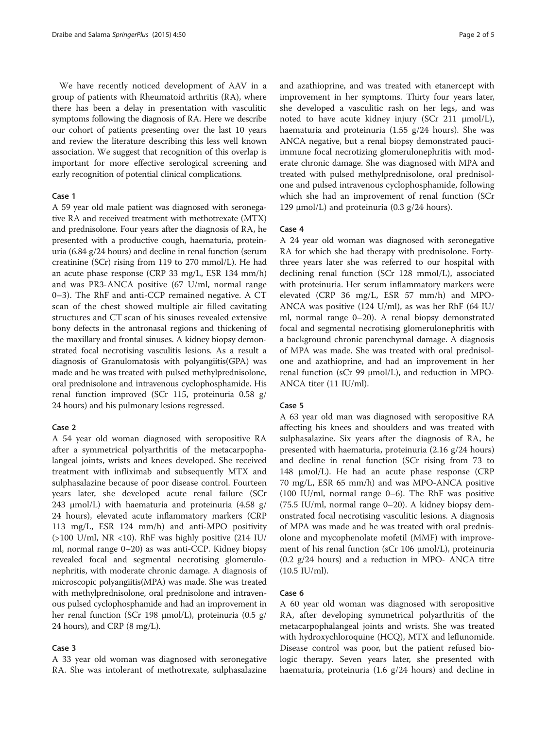We have recently noticed development of AAV in a group of patients with Rheumatoid arthritis (RA), where there has been a delay in presentation with vasculitic symptoms following the diagnosis of RA. Here we describe our cohort of patients presenting over the last 10 years and review the literature describing this less well known association. We suggest that recognition of this overlap is important for more effective serological screening and early recognition of potential clinical complications.

#### Case 1

A 59 year old male patient was diagnosed with seronegative RA and received treatment with methotrexate (MTX) and prednisolone. Four years after the diagnosis of RA, he presented with a productive cough, haematuria, proteinuria (6.84 g/24 hours) and decline in renal function (serum creatinine (SCr) rising from 119 to 270 mmol/L). He had an acute phase response (CRP 33 mg/L, ESR 134 mm/h) and was PR3-ANCA positive (67 U/ml, normal range 0–3). The RhF and anti-CCP remained negative. A CT scan of the chest showed multiple air filled cavitating structures and CT scan of his sinuses revealed extensive bony defects in the antronasal regions and thickening of the maxillary and frontal sinuses. A kidney biopsy demonstrated focal necrotising vasculitis lesions. As a result a diagnosis of Granulomatosis with polyangiitis(GPA) was made and he was treated with pulsed methylprednisolone, oral prednisolone and intravenous cyclophosphamide. His renal function improved (SCr 115, proteinuria 0.58 g/ 24 hours) and his pulmonary lesions regressed.

#### Case 2

A 54 year old woman diagnosed with seropositive RA after a symmetrical polyarthritis of the metacarpophalangeal joints, wrists and knees developed. She received treatment with infliximab and subsequently MTX and sulphasalazine because of poor disease control. Fourteen years later, she developed acute renal failure (SCr 243 μmol/L) with haematuria and proteinuria (4.58 g/ 24 hours), elevated acute inflammatory markers (CRP 113 mg/L, ESR 124 mm/h) and anti-MPO positivity  $(>100 \text{ U/ml}, \text{ NR} < 10)$ . RhF was highly positive  $(214 \text{ IU/m})$ ml, normal range 0–20) as was anti-CCP. Kidney biopsy revealed focal and segmental necrotising glomerulonephritis, with moderate chronic damage. A diagnosis of microscopic polyangiitis(MPA) was made. She was treated with methylprednisolone, oral prednisolone and intravenous pulsed cyclophosphamide and had an improvement in her renal function (SCr 198 μmol/L), proteinuria (0.5 g/ 24 hours), and CRP (8 mg/L).

#### Case 3

A 33 year old woman was diagnosed with seronegative RA. She was intolerant of methotrexate, sulphasalazine

and azathioprine, and was treated with etanercept with improvement in her symptoms. Thirty four years later, she developed a vasculitic rash on her legs, and was noted to have acute kidney injury (SCr 211 μmol/L), haematuria and proteinuria (1.55 g/24 hours). She was ANCA negative, but a renal biopsy demonstrated pauciimmune focal necrotizing glomerulonephritis with moderate chronic damage. She was diagnosed with MPA and treated with pulsed methylprednisolone, oral prednisolone and pulsed intravenous cyclophosphamide, following which she had an improvement of renal function (SCr 129 μmol/L) and proteinuria (0.3 g/24 hours).

### Case 4

A 24 year old woman was diagnosed with seronegative RA for which she had therapy with prednisolone. Fortythree years later she was referred to our hospital with declining renal function (SCr 128 mmol/L), associated with proteinuria. Her serum inflammatory markers were elevated (CRP 36 mg/L, ESR 57 mm/h) and MPO-ANCA was positive (124 U/ml), as was her RhF (64 IU/ ml, normal range 0–20). A renal biopsy demonstrated focal and segmental necrotising glomerulonephritis with a background chronic parenchymal damage. A diagnosis of MPA was made. She was treated with oral prednisolone and azathioprine, and had an improvement in her renal function (sCr 99 μmol/L), and reduction in MPO-ANCA titer (11 IU/ml).

#### Case 5

A 63 year old man was diagnosed with seropositive RA affecting his knees and shoulders and was treated with sulphasalazine. Six years after the diagnosis of RA, he presented with haematuria, proteinuria (2.16 g/24 hours) and decline in renal function (SCr rising from 73 to 148 μmol/L). He had an acute phase response (CRP 70 mg/L, ESR 65 mm/h) and was MPO-ANCA positive (100 IU/ml, normal range 0–6). The RhF was positive (75.5 IU/ml, normal range 0–20). A kidney biopsy demonstrated focal necrotising vasculitic lesions. A diagnosis of MPA was made and he was treated with oral prednisolone and mycophenolate mofetil (MMF) with improvement of his renal function (sCr 106 μmol/L), proteinuria (0.2 g/24 hours) and a reduction in MPO- ANCA titre  $(10.5 \text{ IU/ml})$ .

#### Case 6

A 60 year old woman was diagnosed with seropositive RA, after developing symmetrical polyarthritis of the metacarpophalangeal joints and wrists. She was treated with hydroxychloroquine (HCQ), MTX and leflunomide. Disease control was poor, but the patient refused biologic therapy. Seven years later, she presented with haematuria, proteinuria (1.6 g/24 hours) and decline in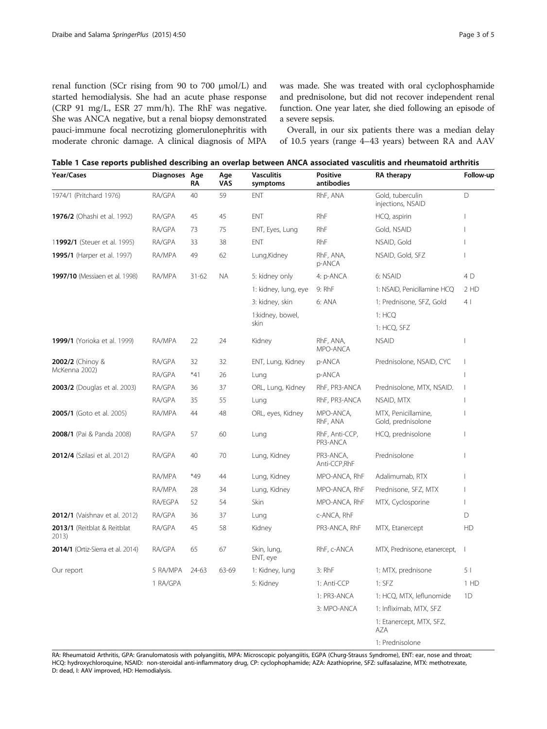<span id="page-2-0"></span>renal function (SCr rising from 90 to 700 μmol/L) and started hemodialysis. She had an acute phase response (CRP 91 mg/L, ESR 27 mm/h). The RhF was negative. She was ANCA negative, but a renal biopsy demonstrated pauci-immune focal necrotizing glomerulonephritis with moderate chronic damage. A clinical diagnosis of MPA was made. She was treated with oral cyclophosphamide and prednisolone, but did not recover independent renal function. One year later, she died following an episode of a severe sepsis.

Overall, in our six patients there was a median delay of 10.5 years (range 4–43 years) between RA and AAV

|  | Table 1 Case reports published describing an overlap between ANCA associated vasculitis and rheumatoid arthritis |  |  |  |  |  |  |  |  |  |  |
|--|------------------------------------------------------------------------------------------------------------------|--|--|--|--|--|--|--|--|--|--|
|--|------------------------------------------------------------------------------------------------------------------|--|--|--|--|--|--|--|--|--|--|

| Year/Cases                           | Diagnoses Age | RΛ        | Age<br>VAS | <b>Vasculitis</b><br>symptoms | <b>Positive</b><br>antibodies | RA therapy                                | Follow-up                |
|--------------------------------------|---------------|-----------|------------|-------------------------------|-------------------------------|-------------------------------------------|--------------------------|
| 1974/1 (Pritchard 1976)              | RA/GPA        | 40        | 59         | <b>ENT</b>                    | RhF, ANA                      | Gold, tuberculin<br>injections, NSAID     | D                        |
| 1976/2 (Ohashi et al. 1992)          | RA/GPA        | 45        | 45         | ENT                           | RhF                           | HCQ, aspirin                              | П                        |
|                                      | RA/GPA        | 73        | 75         | ENT, Eyes, Lung               | RhF                           | Gold, NSAID                               | -1                       |
| 11992/1 (Steuer et al. 1995)         | RA/GPA        | 33        | 38         | ENT                           | <b>RhF</b>                    | NSAID, Gold                               | $\overline{\phantom{a}}$ |
| 1995/1 (Harper et al. 1997)          | RA/MPA        | 49        | 62         | Lung, Kidney                  | RhF, ANA,<br>p-ANCA           | NSAID, Gold, SFZ                          | -1                       |
| 1997/10 (Messiaen et al. 1998)       | RA/MPA        | $31 - 62$ | <b>NA</b>  | 5: kidney only                | 4: p-ANCA                     | 6: NSAID                                  | 4 D                      |
|                                      |               |           |            | 1: kidney, lung, eye          | 9: RhF                        | 1: NSAID, Penicillamine HCQ               | 2 HD                     |
|                                      |               |           |            | 3: kidney, skin               | 6: ANA                        | 1: Prednisone, SFZ, Gold                  | 4                        |
|                                      |               |           |            | 1:kidney, bowel,<br>skin      |                               | 1: HCQ                                    |                          |
|                                      |               |           |            |                               |                               | 1: HCQ, SFZ                               |                          |
| 1999/1 (Yorioka et al. 1999)         | RA/MPA        | 22        | 24         | Kidney                        | RhF, ANA,<br>MPO-ANCA         | <b>NSAID</b>                              | J.                       |
| 2002/2 (Chinoy &                     | RA/GPA        | 32        | 32         | ENT, Lung, Kidney             | p-ANCA                        | Prednisolone, NSAID, CYC                  | $\overline{\phantom{a}}$ |
| McKenna 2002)                        | RA/GPA        | $*41$     | 26         | Lung                          | p-ANCA                        |                                           | J.                       |
| 2003/2 (Douglas et al. 2003)         | RA/GPA        | 36        | 37         | ORL, Lung, Kidney             | RhF, PR3-ANCA                 | Prednisolone, MTX, NSAID.                 | $\overline{\phantom{a}}$ |
|                                      | RA/GPA        | 35        | 55         | Lung                          | RhF, PR3-ANCA                 | NSAID, MTX                                | -1                       |
| <b>2005/1</b> (Goto et al. 2005)     | RA/MPA        | 44        | 48         | ORL, eyes, Kidney             | MPO-ANCA,<br>RhF, ANA         | MTX, Penicillamine,<br>Gold, prednisolone | -1                       |
| 2008/1 (Pai & Panda 2008)            | RA/GPA        | 57        | 60         | Lung                          | RhF, Anti-CCP,<br>PR3-ANCA    | HCQ, prednisolone                         | $\overline{\phantom{a}}$ |
| 2012/4 (Szilasi et al. 2012)         | RA/GPA        | 40        | 70         | Lung, Kidney                  | PR3-ANCA,<br>Anti-CCP, RhF    | Prednisolone                              | $\overline{\phantom{a}}$ |
|                                      | RA/MPA        | $*49$     | 44         | Lung, Kidney                  | MPO-ANCA, RhF                 | Adalimumab, RTX                           | $\overline{\phantom{a}}$ |
|                                      | RA/MPA        | 28        | 34         | Lung, Kidney                  | MPO-ANCA, RhF                 | Prednisone, SFZ, MTX                      | $\overline{\phantom{a}}$ |
|                                      | RA/EGPA       | 52        | 54         | Skin                          | MPO-ANCA, RhF                 | MTX, Cyclosporine                         | $\overline{\phantom{a}}$ |
| 2012/1 (Vaishnav et al. 2012)        | RA/GPA        | 36        | 37         | Lung                          | c-ANCA, RhF                   |                                           | D                        |
| 2013/1 (Reitblat & Reitblat<br>2013) | RA/GPA        | 45        | 58         | Kidney                        | PR3-ANCA, RhF                 | MTX, Etanercept                           | HD                       |
| 2014/1 (Ortiz-Sierra et al. 2014)    | RA/GPA        | 65        | 67         | Skin, lung,<br>ENT, eye       | RhF, c-ANCA                   | MTX, Prednisone, etanercept,              | $\mathbf{I}$             |
| Our report                           | 5 RA/MPA      | 24-63     | 63-69      | 1: Kidney, lung               | 3: RhF                        | 1: MTX, prednisone                        | 5                        |
|                                      | 1 RA/GPA      |           |            | 5: Kidney                     | 1: Anti-CCP                   | $1:$ SFZ                                  | 1 HD                     |
|                                      |               |           |            |                               | 1: PR3-ANCA                   | 1: HCQ, MTX, leflunomide                  | 1D                       |
|                                      |               |           |            |                               | 3: MPO-ANCA                   | 1: Infliximab, MTX, SFZ                   |                          |
|                                      |               |           |            |                               |                               | 1: Etanercept, MTX, SFZ,<br>AZA           |                          |
|                                      |               |           |            |                               |                               | 1: Prednisolone                           |                          |

RA: Rheumatoid Arthritis, GPA: Granulomatosis with polyangiitis, MPA: Microscopic polyangiitis, EGPA (Churg-Strauss Syndrome), ENT: ear, nose and throat; HCQ: hydroxychloroquine, NSAID: non-steroidal anti-inflammatory drug, CP: cyclophophamide; AZA: Azathioprine, SFZ: sulfasalazine, MTX: methotrexate, D: dead, I: AAV improved, HD: Hemodialysis.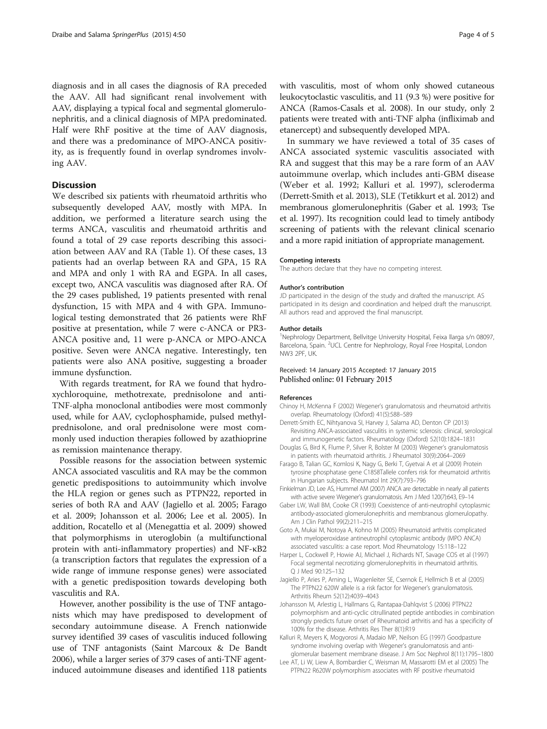<span id="page-3-0"></span>diagnosis and in all cases the diagnosis of RA preceded the AAV. All had significant renal involvement with AAV, displaying a typical focal and segmental glomerulonephritis, and a clinical diagnosis of MPA predominated. Half were RhF positive at the time of AAV diagnosis, and there was a predominance of MPO-ANCA positivity, as is frequently found in overlap syndromes involving AAV.

# **Discussion**

We described six patients with rheumatoid arthritis who subsequently developed AAV, mostly with MPA. In addition, we performed a literature search using the terms ANCA, vasculitis and rheumatoid arthritis and found a total of 29 case reports describing this association between AAV and RA (Table [1\)](#page-2-0). Of these cases, 13 patients had an overlap between RA and GPA, 15 RA and MPA and only 1 with RA and EGPA. In all cases, except two, ANCA vasculitis was diagnosed after RA. Of the 29 cases published, 19 patients presented with renal dysfunction, 15 with MPA and 4 with GPA. Immunological testing demonstrated that 26 patients were RhF positive at presentation, while 7 were c-ANCA or PR3- ANCA positive and, 11 were p-ANCA or MPO-ANCA positive. Seven were ANCA negative. Interestingly, ten patients were also ANA positive, suggesting a broader immune dysfunction.

With regards treatment, for RA we found that hydroxychloroquine, methotrexate, prednisolone and anti-TNF-alpha monoclonal antibodies were most commonly used, while for AAV, cyclophosphamide, pulsed methylprednisolone, and oral prednisolone were most commonly used induction therapies followed by azathioprine as remission maintenance therapy.

Possible reasons for the association between systemic ANCA associated vasculitis and RA may be the common genetic predispositions to autoimmunity which involve the HLA region or genes such as PTPN22, reported in series of both RA and AAV (Jagiello et al. 2005; Farago et al. 2009; Johansson et al. 2006; Lee et al. 2005). In addition, Rocatello et al (Menegattia et al. [2009](#page-4-0)) showed that polymorphisms in uteroglobin (a multifunctional protein with anti-inflammatory properties) and NF-κB2 (a transcription factors that regulates the expression of a wide range of immune response genes) were associated with a genetic predisposition towards developing both vasculitis and RA.

However, another possibility is the use of TNF antagonists which may have predisposed to development of secondary autoimmune disease. A French nationwide survey identified 39 cases of vasculitis induced following use of TNF antagonists (Saint Marcoux & De Bandt [2006\)](#page-4-0), while a larger series of 379 cases of anti-TNF agentinduced autoimmune diseases and identified 118 patients

with vasculitis, most of whom only showed cutaneous leukocytoclastic vasculitis, and 11 (9.3 %) were positive for ANCA (Ramos-Casals et al. [2008](#page-4-0)). In our study, only 2 patients were treated with anti-TNF alpha (infliximab and etanercept) and subsequently developed MPA.

In summary we have reviewed a total of 35 cases of ANCA associated systemic vasculitis associated with RA and suggest that this may be a rare form of an AAV autoimmune overlap, which includes anti-GBM disease (Weber et al. [1992;](#page-4-0) Kalluri et al. 1997), scleroderma (Derrett-Smith et al. 2013), SLE (Tetikkurt et al. [2012\)](#page-4-0) and membranous glomerulonephritis (Gaber et al. 1993; Tse et al. [1997](#page-4-0)). Its recognition could lead to timely antibody screening of patients with the relevant clinical scenario and a more rapid initiation of appropriate management.

#### Competing interests

The authors declare that they have no competing interest.

#### Author's contribution

JD participated in the design of the study and drafted the manuscript. AS participated in its design and coordination and helped draft the manuscript. All authors read and approved the final manuscript.

#### Author details

<sup>1</sup>Nephrology Department, Bellvitge University Hospital, Feixa llarga s/n 08097, Barcelona, Spain. <sup>2</sup>UCL Centre for Nephrology, Royal Free Hospital, London NW3 2PF, UK.

#### Received: 14 January 2015 Accepted: 17 January 2015 Published online: 01 February 2015

#### References

- Chinoy H, McKenna F (2002) Wegener's granulomatosis and rheumatoid arthritis overlap. Rheumatology (Oxford) 41(5):588–589
- Derrett-Smith EC, Nihtyanova SI, Harvey J, Salama AD, Denton CP (2013) Revisiting ANCA-associated vasculitis in systemic sclerosis: clinical, serological and immunogenetic factors. Rheumatology (Oxford) 52(10):1824–1831
- Douglas G, Bird K, Flume P, Silver R, Bolster M (2003) Wegener's granulomatosis in patients with rheumatoid arthritis. J Rheumatol 30(9):2064–2069
- Farago B, Talian GC, Komlosi K, Nagy G, Berki T, Gyetvai A et al (2009) Protein tyrosine phosphatase gene C1858Tallele confers risk for rheumatoid arthritis in Hungarian subjects. Rheumatol Int 29(7):793–796
- Finkielman JD, Lee AS, Hummel AM (2007) ANCA are detectable in nearly all patients with active severe Wegener's granulomatosis. Am J Med 120(7):643, E9–14
- Gaber LW, Wall BM, Cooke CR (1993) Coexistence of anti-neutrophil cytoplasmic antibody-associated glomerulonephritis and membranous glomerulopathy. Am J Clin Pathol 99(2):211–215
- Goto A, Mukai M, Notoya A, Kohno M (2005) Rheumatoid arthritis complicated with myeloperoxidase antineutrophil cytoplasmic antibody (MPO ANCA) associated vasculitis: a case report. Mod Rheumatology 15:118–122
- Harper L, Cockwell P, Howie AJ, Michael J, Richards NT, Savage COS et al (1997) Focal segmental necrotizing glomerulonephritis in rheumatoid arthritis. Q J Med 90:125–132
- Jagiello P, Aries P, Arning L, Wagenleiter SE, Csernok E, Hellmich B et al (2005) The PTPN22 620W allele is a risk factor for Wegener's granulomatosis. Arthritis Rheum 52(12):4039–4043
- Johansson M, Arlestig L, Hallmans G, Rantapaa-Dahlqvist S (2006) PTPN22 polymorphism and anti-cyclic citrullinated peptide antibodies in combination strongly predicts future onset of Rheumatoid arthritis and has a specificity of 100% for the disease. Arthritis Res Ther 8(1):R19
- Kalluri R, Meyers K, Mogyorosi A, Madaio MP, Neilson EG (1997) Goodpasture syndrome involving overlap with Wegener's granulomatosis and antiglomerular basement membrane disease. J Am Soc Nephrol 8(11):1795–1800
- Lee AT, Li W, Liew A, Bombardier C, Weisman M, Massarotti EM et al (2005) The PTPN22 R620W polymorphism associates with RF positive rheumatoid